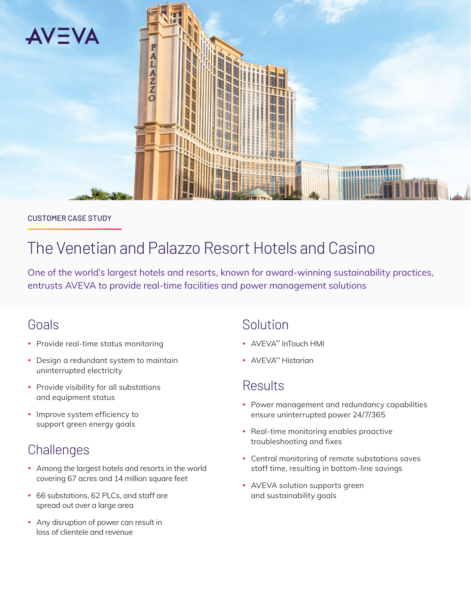

#### CUSTOMER CASE STUDY

# The Venetian and Palazzo Resort Hotels and Casino

One of the world's largest hotels and resorts, known for award-winning sustainability practices, entrusts AVEVA to provide real-time facilities and power management solutions

## Goals

- Provide real-time status monitoring
- Design a redundant system to maintain uninterrupted electricity
- Provide visibility for all substations and equipment status
- Improve system efficiency to support green energy goals

# **Challenges**

- Among the largest hotels and resorts in the world covering 67 acres and 14 million square feet
- 66 substations, 62 PLCs, and staff are spread out over a large area
- Any disruption of power can result in loss of clientele and revenue

# Solution

- AVEVA™ InTouch HMI
- AVEVA™ Historian

# Results

- Power management and redundancy capabilities ensure uninterrupted power 24/7/365
- Real-time monitoring enables proactive troubleshooting and fixes
- Central monitoring of remote substations saves staff time, resulting in bottom-line savings
- AVEVA solution supports green and sustainability goals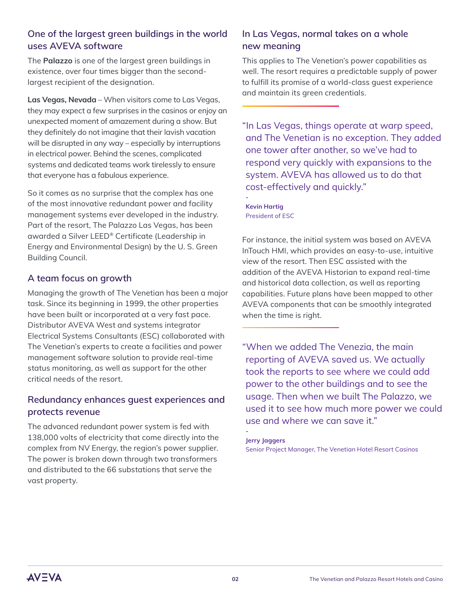### **One of the largest green buildings in the world uses AVEVA software**

The **Palazzo** is one of the largest green buildings in existence, over four times bigger than the secondlargest recipient of the designation.

**Las Vegas, Nevada** – When visitors come to Las Vegas, they may expect a few surprises in the casinos or enjoy an unexpected moment of amazement during a show. But they definitely do not imagine that their lavish vacation will be disrupted in any way – especially by interruptions in electrical power. Behind the scenes, complicated systems and dedicated teams work tirelessly to ensure that everyone has a fabulous experience.

So it comes as no surprise that the complex has one of the most innovative redundant power and facility management systems ever developed in the industry. Part of the resort, The Palazzo Las Vegas, has been awarded a Silver LEED® Certificate (Leadership in Energy and Environmental Design) by the U. S. Green Building Council.

### **A team focus on growth**

Managing the growth of The Venetian has been a major task. Since its beginning in 1999, the other properties have been built or incorporated at a very fast pace. Distributor AVEVA West and systems integrator Electrical Systems Consultants (ESC) collaborated with The Venetian's experts to create a facilities and power management software solution to provide real-time status monitoring, as well as support for the other critical needs of the resort.

### **Redundancy enhances guest experiences and protects revenue**

The advanced redundant power system is fed with 138,000 volts of electricity that come directly into the complex from NV Energy, the region's power supplier. The power is broken down through two transformers and distributed to the 66 substations that serve the vast property.

### **In Las Vegas, normal takes on a whole new meaning**

This applies to The Venetian's power capabilities as well. The resort requires a predictable supply of power to fulfill its promise of a world-class guest experience and maintain its green credentials.

"In Las Vegas, things operate at warp speed, and The Venetian is no exception. They added one tower after another, so we've had to respond very quickly with expansions to the system. AVEVA has allowed us to do that cost-effectively and quickly."

**- Kevin Hartig** President of ESC

For instance, the initial system was based on AVEVA InTouch HMI, which provides an easy-to-use, intuitive view of the resort. Then ESC assisted with the addition of the AVEVA Historian to expand real-time and historical data collection, as well as reporting capabilities. Future plans have been mapped to other AVEVA components that can be smoothly integrated when the time is right.

"When we added The Venezia, the main reporting of AVEVA saved us. We actually took the reports to see where we could add power to the other buildings and to see the usage. Then when we built The Palazzo, we used it to see how much more power we could use and where we can save it."

#### **Jerry Jaggers**

**-**

Senior Project Manager, The Venetian Hotel Resort Casinos